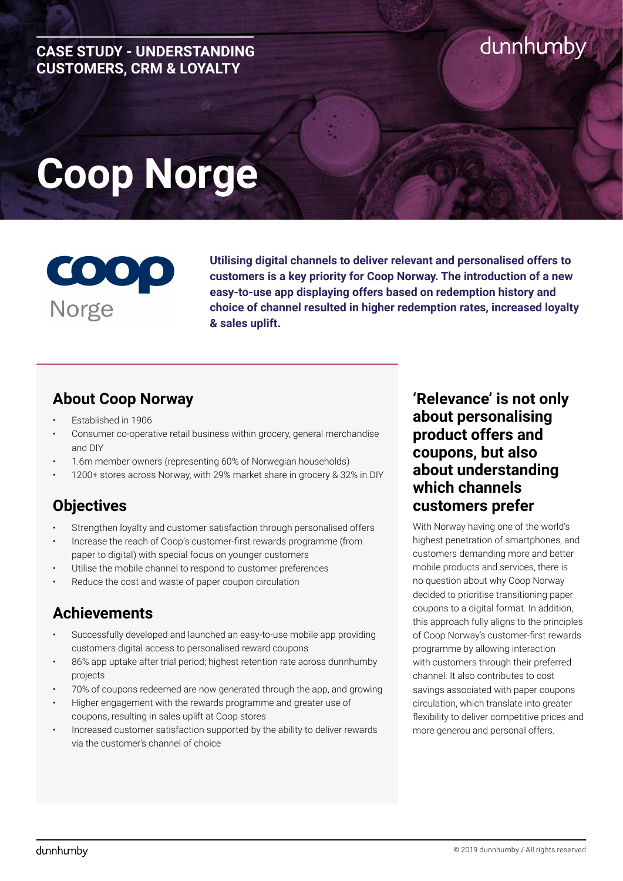#### **CASE STUDY - UNDERSTANDING CUSTOMERS, CRM & LOYALTY**

# dunhumby

# **Coop Norge**



**Utilising digital channels to deliver relevant and personalised offers to customers is a key priority for Coop Norway. The introduction of a new easy-to-use app displaying offers based on redemption history and choice of channel resulted in higher redemption rates, increased loyalty & sales uplift.** 

#### **About Coop Norway**

- Established in 1906
- Consumer co-operative retail business within grocery, general merchandise and DIY
- 1.6m member owners (representing 60% of Norwegian households)
- 1200+ stores across Norway, with 29% market share in grocery & 32% in DIY

## **Objectives**

- Strengthen loyalty and customer satisfaction through personalised offers
- Increase the reach of Coop's customer-first rewards programme (from paper to digital) with special focus on younger customers
- Utilise the mobile channel to respond to customer preferences
- Reduce the cost and waste of paper coupon circulation

### **Achievements**

- Successfully developed and launched an easy-to-use mobile app providing customers digital access to personalised reward coupons
- 86% app uptake after trial period; highest retention rate across dunnhumby projects
- 70% of coupons redeemed are now generated through the app, and growing
- Higher engagement with the rewards programme and greater use of coupons, resulting in sales uplift at Coop stores
- Increased customer satisfaction supported by the ability to deliver rewards via the customer's channel of choice

#### **'Relevance' is not only about personalising product offers and coupons, but also about understanding which channels customers prefer**

With Norway having one of the world's highest penetration of smartphones, and customers demanding more and better mobile products and services, there is no question about why Coop Norway decided to prioritise transitioning paper coupons to a digital format. In addition, this approach fully aligns to the principles of Coop Norway's customer-first rewards programme by allowing interaction with customers through their preferred channel. It also contributes to cost savings associated with paper coupons circulation, which translate into greater flexibility to deliver competitive prices and more generou and personal offers.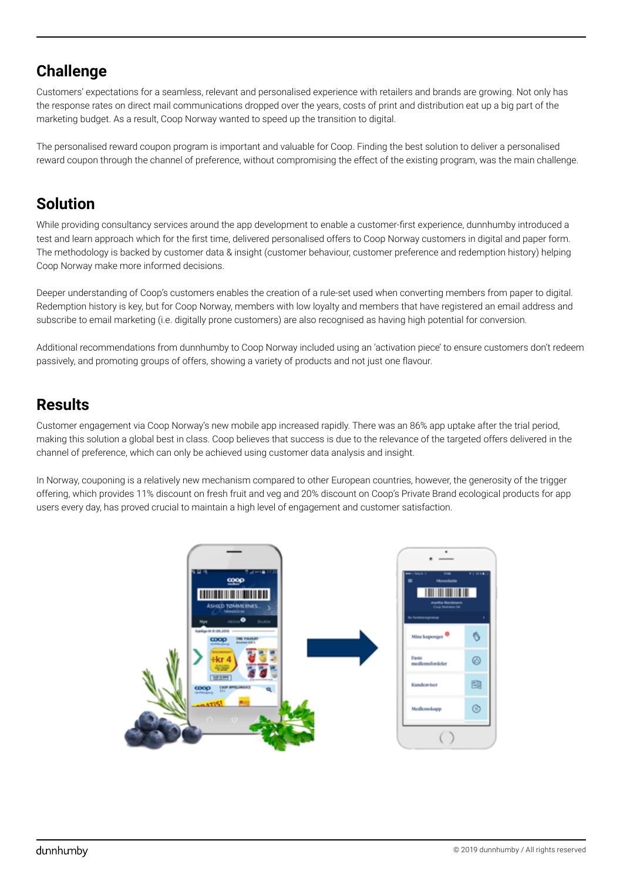#### **Challenge**

Customers' expectations for a seamless, relevant and personalised experience with retailers and brands are growing. Not only has the response rates on direct mail communications dropped over the years, costs of print and distribution eat up a big part of the marketing budget. As a result, Coop Norway wanted to speed up the transition to digital.

The personalised reward coupon program is important and valuable for Coop. Finding the best solution to deliver a personalised reward coupon through the channel of preference, without compromising the effect of the existing program, was the main challenge.

### **Solution**

While providing consultancy services around the app development to enable a customer-first experience, dunnhumby introduced a test and learn approach which for the first time, delivered personalised offers to Coop Norway customers in digital and paper form. The methodology is backed by customer data & insight (customer behaviour, customer preference and redemption history) helping Coop Norway make more informed decisions.

Deeper understanding of Coop's customers enables the creation of a rule-set used when converting members from paper to digital. Redemption history is key, but for Coop Norway, members with low loyalty and members that have registered an email address and subscribe to email marketing (i.e. digitally prone customers) are also recognised as having high potential for conversion.

Additional recommendations from dunnhumby to Coop Norway included using an 'activation piece' to ensure customers don't redeem passively, and promoting groups of offers, showing a variety of products and not just one flavour.

## **Results**

Customer engagement via Coop Norway's new mobile app increased rapidly. There was an 86% app uptake after the trial period, making this solution a global best in class. Coop believes that success is due to the relevance of the targeted offers delivered in the channel of preference, which can only be achieved using customer data analysis and insight.

In Norway, couponing is a relatively new mechanism compared to other European countries, however, the generosity of the trigger offering, which provides 11% discount on fresh fruit and veg and 20% discount on Coop's Private Brand ecological products for app users every day, has proved crucial to maintain a high level of engagement and customer satisfaction.

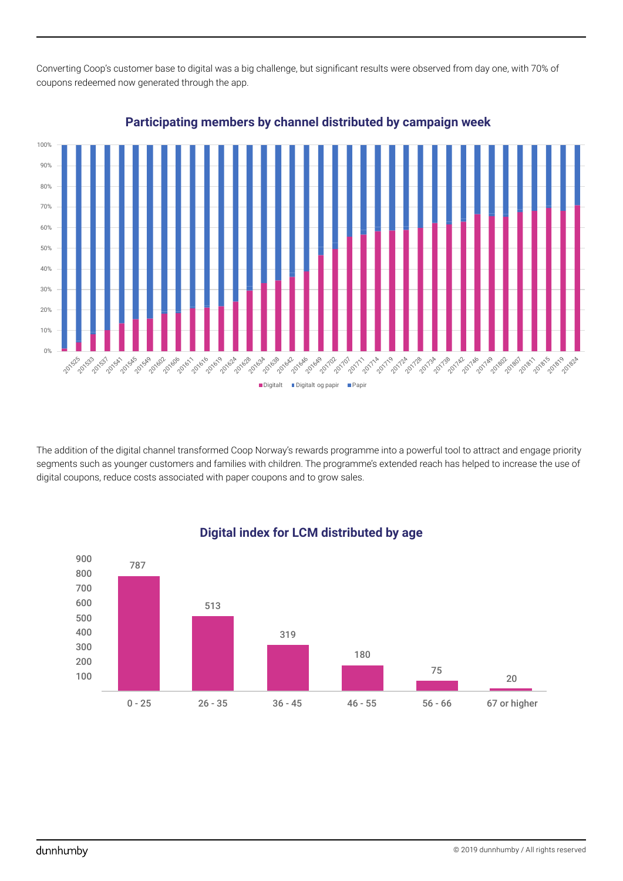Converting Coop's customer base to digital was a big challenge, but significant results were observed from day one, with 70% of coupons redeemed now generated through the app.



#### **Participating members by channel distributed by campaign week**

The addition of the digital channel transformed Coop Norway's rewards programme into a powerful tool to attract and engage priority segments such as younger customers and families with children. The programme's extended reach has helped to increase the use of digital coupons, reduce costs associated with paper coupons and to grow sales.



#### **Digital index for LCM distributed by age**